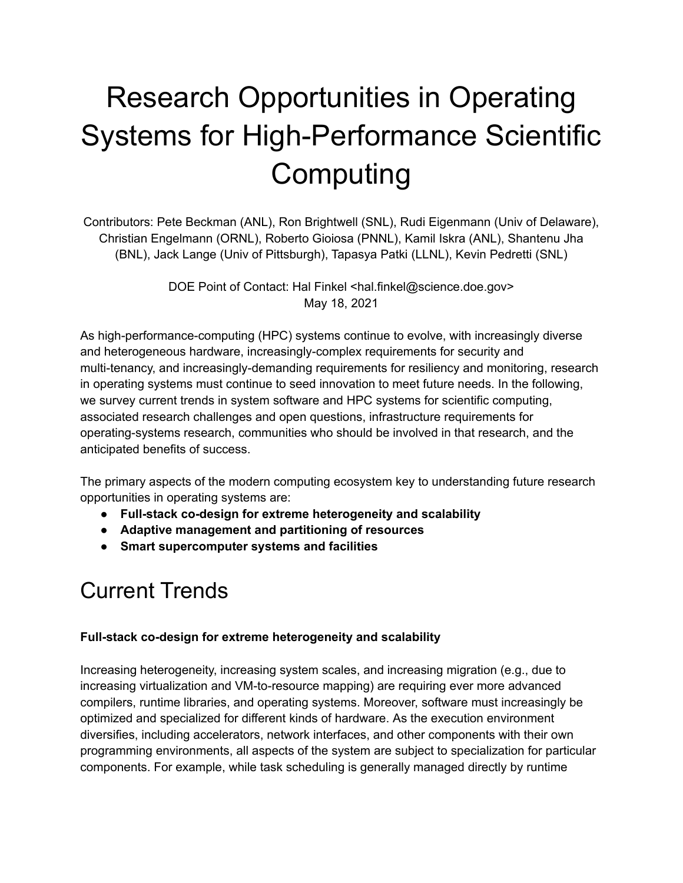# Research Opportunities in Operating Systems for High-Performance Scientific **Computing**

Contributors: Pete Beckman (ANL), Ron Brightwell (SNL), Rudi Eigenmann (Univ of Delaware), Christian Engelmann (ORNL), Roberto Gioiosa (PNNL), Kamil Iskra (ANL), Shantenu Jha (BNL), Jack Lange (Univ of Pittsburgh), Tapasya Patki (LLNL), Kevin Pedretti (SNL)

> DOE Point of Contact: Hal Finkel <hal.finkel@science.doe.gov> May 18, 2021

As high-performance-computing (HPC) systems continue to evolve, with increasingly diverse and heterogeneous hardware, increasingly-complex requirements for security and multi-tenancy, and increasingly-demanding requirements for resiliency and monitoring, research in operating systems must continue to seed innovation to meet future needs. In the following, we survey current trends in system software and HPC systems for scientific computing, associated research challenges and open questions, infrastructure requirements for operating-systems research, communities who should be involved in that research, and the anticipated benefits of success.

The primary aspects of the modern computing ecosystem key to understanding future research opportunities in operating systems are:

- **● Full-stack co-design for extreme heterogeneity and scalability**
- **● Adaptive management and partitioning of resources**
- **● Smart supercomputer systems and facilities**

### Current Trends

### **Full-stack co-design for extreme heterogeneity and scalability**

Increasing heterogeneity, increasing system scales, and increasing migration (e.g., due to increasing virtualization and VM-to-resource mapping) are requiring ever more advanced compilers, runtime libraries, and operating systems. Moreover, software must increasingly be optimized and specialized for different kinds of hardware. As the execution environment diversifies, including accelerators, network interfaces, and other components with their own programming environments, all aspects of the system are subject to specialization for particular components. For example, while task scheduling is generally managed directly by runtime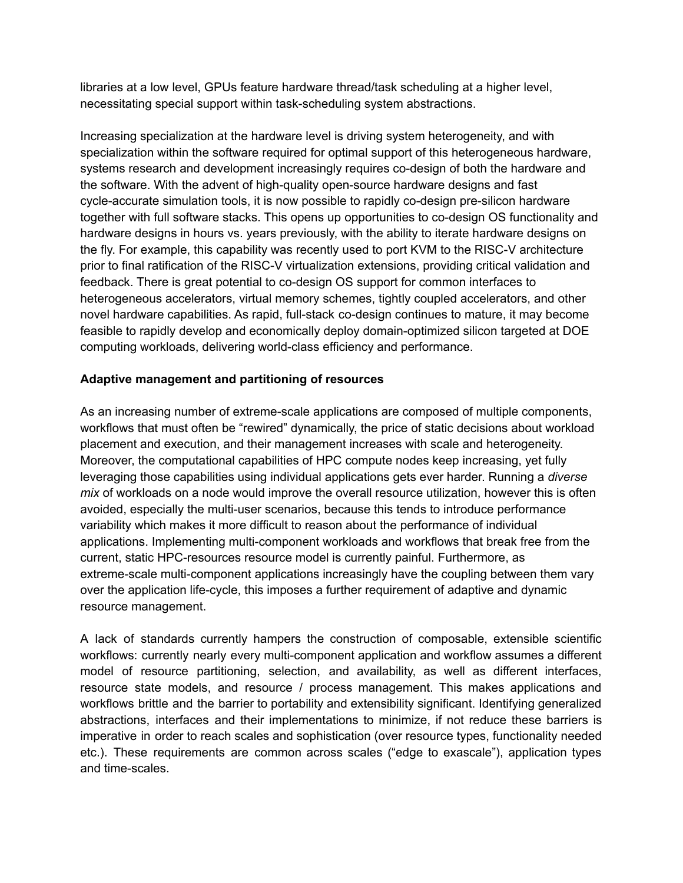libraries at a low level, GPUs feature hardware thread/task scheduling at a higher level, necessitating special support within task-scheduling system abstractions.

Increasing specialization at the hardware level is driving system heterogeneity, and with specialization within the software required for optimal support of this heterogeneous hardware, systems research and development increasingly requires co-design of both the hardware and the software. With the advent of high-quality open-source hardware designs and fast cycle-accurate simulation tools, it is now possible to rapidly co-design pre-silicon hardware together with full software stacks. This opens up opportunities to co-design OS functionality and hardware designs in hours vs. years previously, with the ability to iterate hardware designs on the fly. For example, this capability was recently used to port KVM to the RISC-V architecture prior to final ratification of the RISC-V virtualization extensions, providing critical validation and feedback. There is great potential to co-design OS support for common interfaces to heterogeneous accelerators, virtual memory schemes, tightly coupled accelerators, and other novel hardware capabilities. As rapid, full-stack co-design continues to mature, it may become feasible to rapidly develop and economically deploy domain-optimized silicon targeted at DOE computing workloads, delivering world-class efficiency and performance.

#### **Adaptive management and partitioning of resources**

As an increasing number of extreme-scale applications are composed of multiple components, workflows that must often be "rewired" dynamically, the price of static decisions about workload placement and execution, and their management increases with scale and heterogeneity. Moreover, the computational capabilities of HPC compute nodes keep increasing, yet fully leveraging those capabilities using individual applications gets ever harder. Running a *diverse mix* of workloads on a node would improve the overall resource utilization, however this is often avoided, especially the multi-user scenarios, because this tends to introduce performance variability which makes it more difficult to reason about the performance of individual applications. Implementing multi-component workloads and workflows that break free from the current, static HPC-resources resource model is currently painful. Furthermore, as extreme-scale multi-component applications increasingly have the coupling between them vary over the application life-cycle, this imposes a further requirement of adaptive and dynamic resource management.

A lack of standards currently hampers the construction of composable, extensible scientific workflows: currently nearly every multi-component application and workflow assumes a different model of resource partitioning, selection, and availability, as well as different interfaces, resource state models, and resource / process management. This makes applications and workflows brittle and the barrier to portability and extensibility significant. Identifying generalized abstractions, interfaces and their implementations to minimize, if not reduce these barriers is imperative in order to reach scales and sophistication (over resource types, functionality needed etc.). These requirements are common across scales ("edge to exascale"), application types and time-scales.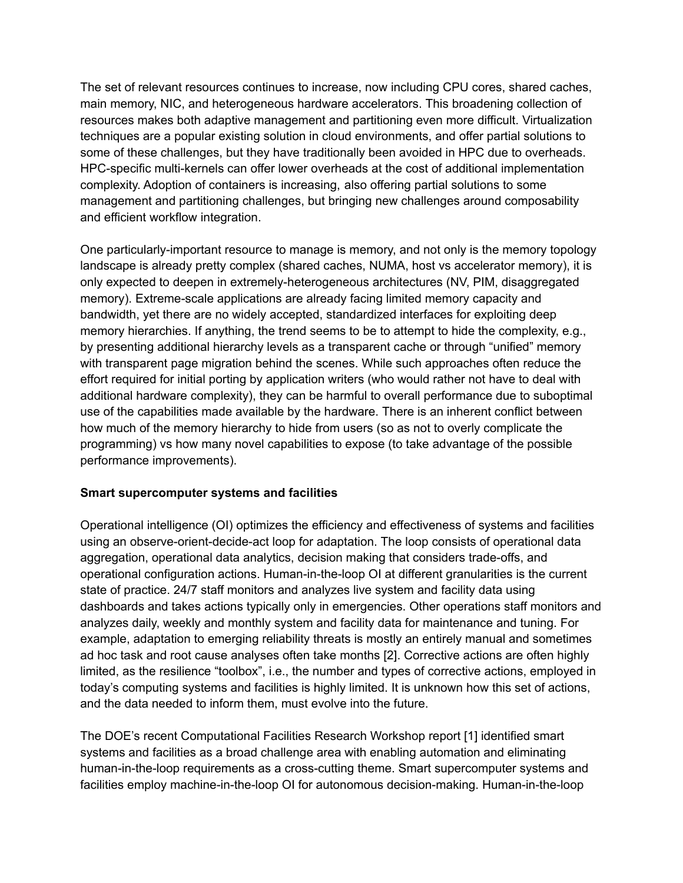The set of relevant resources continues to increase, now including CPU cores, shared caches, main memory, NIC, and heterogeneous hardware accelerators. This broadening collection of resources makes both adaptive management and partitioning even more difficult. Virtualization techniques are a popular existing solution in cloud environments, and offer partial solutions to some of these challenges, but they have traditionally been avoided in HPC due to overheads. HPC-specific multi-kernels can offer lower overheads at the cost of additional implementation complexity. Adoption of containers is increasing, also offering partial solutions to some management and partitioning challenges, but bringing new challenges around composability and efficient workflow integration.

One particularly-important resource to manage is memory, and not only is the memory topology landscape is already pretty complex (shared caches, NUMA, host vs accelerator memory), it is only expected to deepen in extremely-heterogeneous architectures (NV, PIM, disaggregated memory). Extreme-scale applications are already facing limited memory capacity and bandwidth, yet there are no widely accepted, standardized interfaces for exploiting deep memory hierarchies. If anything, the trend seems to be to attempt to hide the complexity, e.g., by presenting additional hierarchy levels as a transparent cache or through "unified" memory with transparent page migration behind the scenes. While such approaches often reduce the effort required for initial porting by application writers (who would rather not have to deal with additional hardware complexity), they can be harmful to overall performance due to suboptimal use of the capabilities made available by the hardware. There is an inherent conflict between how much of the memory hierarchy to hide from users (so as not to overly complicate the programming) vs how many novel capabilities to expose (to take advantage of the possible performance improvements).

### **Smart supercomputer systems and facilities**

Operational intelligence (OI) optimizes the efficiency and effectiveness of systems and facilities using an observe-orient-decide-act loop for adaptation. The loop consists of operational data aggregation, operational data analytics, decision making that considers trade-offs, and operational configuration actions. Human-in-the-loop OI at different granularities is the current state of practice. 24/7 staff monitors and analyzes live system and facility data using dashboards and takes actions typically only in emergencies. Other operations staff monitors and analyzes daily, weekly and monthly system and facility data for maintenance and tuning. For example, adaptation to emerging reliability threats is mostly an entirely manual and sometimes ad hoc task and root cause analyses often take months [2]. Corrective actions are often highly limited, as the resilience "toolbox", i.e., the number and types of corrective actions, employed in today's computing systems and facilities is highly limited. It is unknown how this set of actions, and the data needed to inform them, must evolve into the future.

The DOE's recent Computational Facilities Research Workshop report [1] identified smart systems and facilities as a broad challenge area with enabling automation and eliminating human-in-the-loop requirements as a cross-cutting theme. Smart supercomputer systems and facilities employ machine-in-the-loop OI for autonomous decision-making. Human-in-the-loop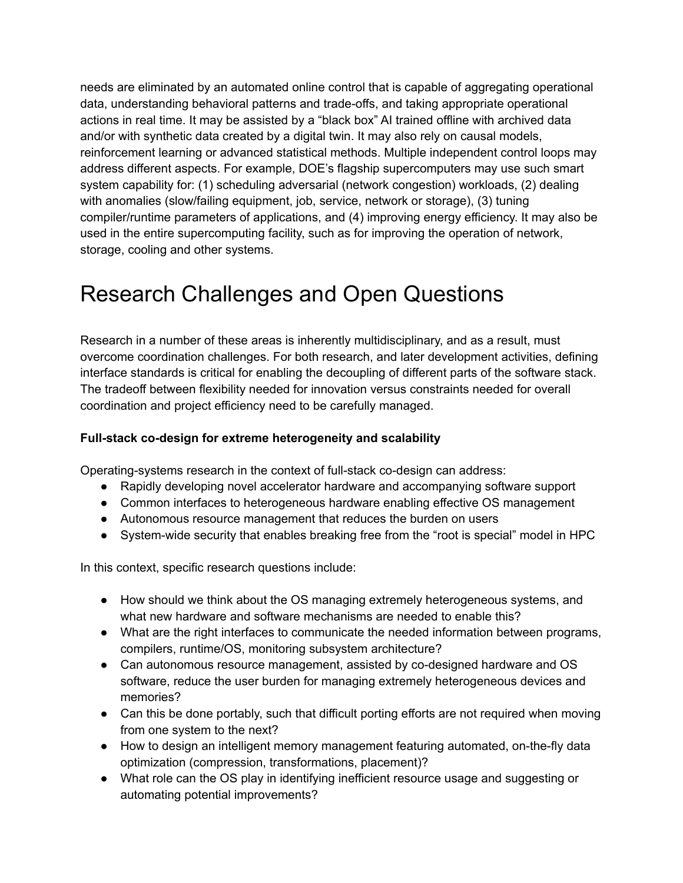needs are eliminated by an automated online control that is capable of aggregating operational data, understanding behavioral patterns and trade-offs, and taking appropriate operational actions in real time. It may be assisted by a "black box" AI trained offline with archived data and/or with synthetic data created by a digital twin. It may also rely on causal models, reinforcement learning or advanced statistical methods. Multiple independent control loops may address different aspects. For example, DOE's flagship supercomputers may use such smart system capability for: (1) scheduling adversarial (network congestion) workloads, (2) dealing with anomalies (slow/failing equipment, job, service, network or storage), (3) tuning compiler/runtime parameters of applications, and (4) improving energy efficiency. It may also be used in the entire supercomputing facility, such as for improving the operation of network, storage, cooling and other systems.

# Research Challenges and Open Questions

Research in a number of these areas is inherently multidisciplinary, and as a result, must overcome coordination challenges. For both research, and later development activities, defining interface standards is critical for enabling the decoupling of different parts of the software stack. The tradeoff between flexibility needed for innovation versus constraints needed for overall coordination and project efficiency need to be carefully managed.

### **Full-stack co-design for extreme heterogeneity and scalability**

Operating-systems research in the context of full-stack co-design can address:

- Rapidly developing novel accelerator hardware and accompanying software support
- Common interfaces to heterogeneous hardware enabling effective OS management
- Autonomous resource management that reduces the burden on users
- System-wide security that enables breaking free from the "root is special" model in HPC

In this context, specific research questions include:

- How should we think about the OS managing extremely heterogeneous systems, and what new hardware and software mechanisms are needed to enable this?
- What are the right interfaces to communicate the needed information between programs, compilers, runtime/OS, monitoring subsystem architecture?
- Can autonomous resource management, assisted by co-designed hardware and OS software, reduce the user burden for managing extremely heterogeneous devices and memories?
- Can this be done portably, such that difficult porting efforts are not required when moving from one system to the next?
- How to design an intelligent memory management featuring automated, on-the-fly data optimization (compression, transformations, placement)?
- What role can the OS play in identifying inefficient resource usage and suggesting or automating potential improvements?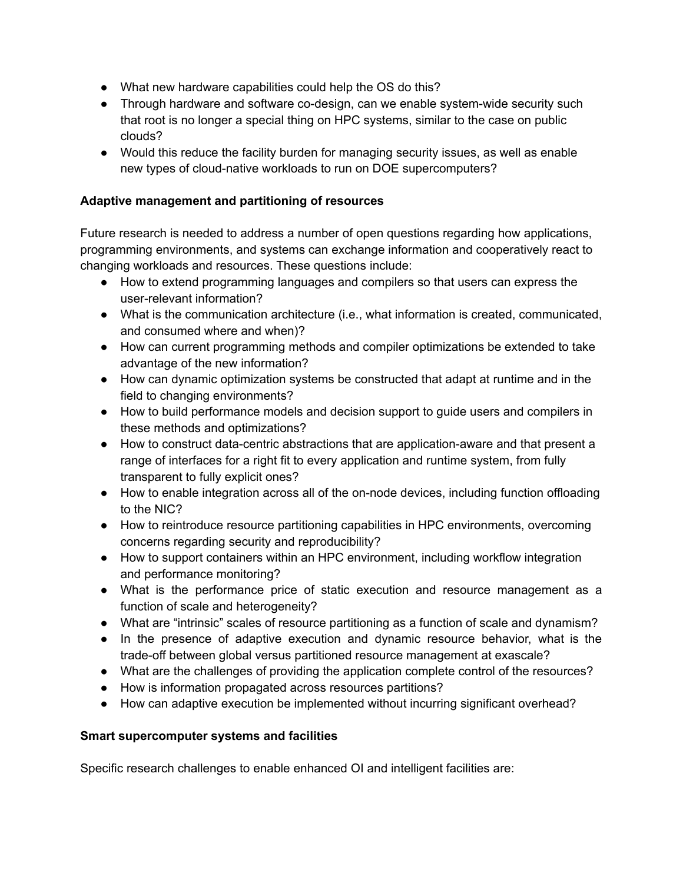- What new hardware capabilities could help the OS do this?
- Through hardware and software co-design, can we enable system-wide security such that root is no longer a special thing on HPC systems, similar to the case on public clouds?
- Would this reduce the facility burden for managing security issues, as well as enable new types of cloud-native workloads to run on DOE supercomputers?

### **Adaptive management and partitioning of resources**

Future research is needed to address a number of open questions regarding how applications, programming environments, and systems can exchange information and cooperatively react to changing workloads and resources. These questions include:

- How to extend programming languages and compilers so that users can express the user-relevant information?
- What is the communication architecture (i.e., what information is created, communicated, and consumed where and when)?
- How can current programming methods and compiler optimizations be extended to take advantage of the new information?
- How can dynamic optimization systems be constructed that adapt at runtime and in the field to changing environments?
- How to build performance models and decision support to guide users and compilers in these methods and optimizations?
- How to construct data-centric abstractions that are application-aware and that present a range of interfaces for a right fit to every application and runtime system, from fully transparent to fully explicit ones?
- How to enable integration across all of the on-node devices, including function offloading to the NIC?
- How to reintroduce resource partitioning capabilities in HPC environments, overcoming concerns regarding security and reproducibility?
- How to support containers within an HPC environment, including workflow integration and performance monitoring?
- What is the performance price of static execution and resource management as a function of scale and heterogeneity?
- What are "intrinsic" scales of resource partitioning as a function of scale and dynamism?
- In the presence of adaptive execution and dynamic resource behavior, what is the trade-off between global versus partitioned resource management at exascale?
- What are the challenges of providing the application complete control of the resources?
- How is information propagated across resources partitions?
- How can adaptive execution be implemented without incurring significant overhead?

### **Smart supercomputer systems and facilities**

Specific research challenges to enable enhanced OI and intelligent facilities are: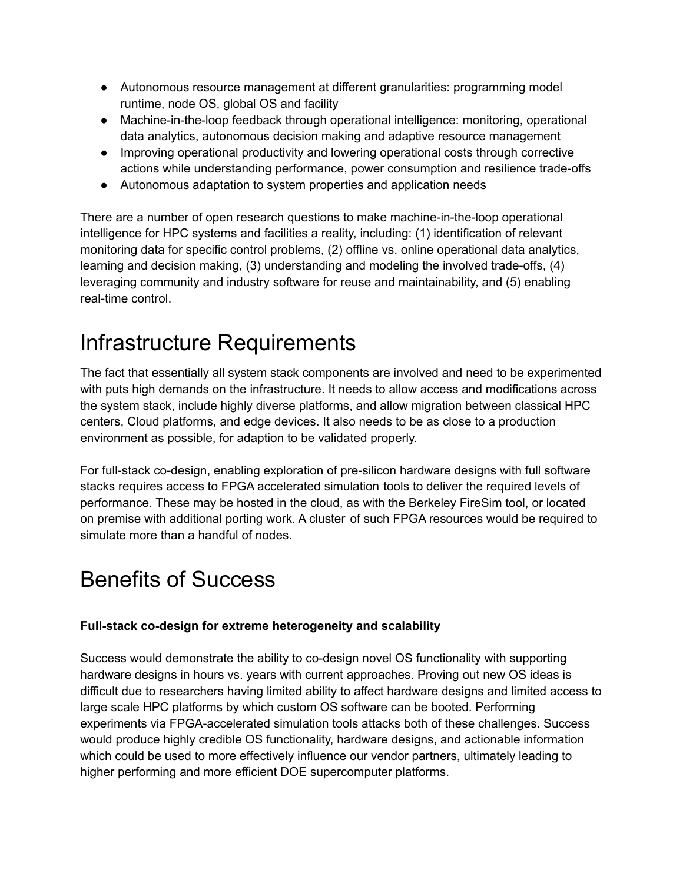- Autonomous resource management at different granularities: programming model runtime, node OS, global OS and facility
- Machine-in-the-loop feedback through operational intelligence: monitoring, operational data analytics, autonomous decision making and adaptive resource management
- Improving operational productivity and lowering operational costs through corrective actions while understanding performance, power consumption and resilience trade-offs
- Autonomous adaptation to system properties and application needs

There are a number of open research questions to make machine-in-the-loop operational intelligence for HPC systems and facilities a reality, including: (1) identification of relevant monitoring data for specific control problems, (2) offline vs. online operational data analytics, learning and decision making, (3) understanding and modeling the involved trade-offs, (4) leveraging community and industry software for reuse and maintainability, and (5) enabling real-time control.

# Infrastructure Requirements

The fact that essentially all system stack components are involved and need to be experimented with puts high demands on the infrastructure. It needs to allow access and modifications across the system stack, include highly diverse platforms, and allow migration between classical HPC centers, Cloud platforms, and edge devices. It also needs to be as close to a production environment as possible, for adaption to be validated properly.

For full-stack co-design, enabling exploration of pre-silicon hardware designs with full software stacks requires access to FPGA accelerated simulation tools to deliver the required levels of performance. These may be hosted in the cloud, as with the Berkeley FireSim tool, or located on premise with additional porting work. A cluster of such FPGA resources would be required to simulate more than a handful of nodes.

# Benefits of Success

### **Full-stack co-design for extreme heterogeneity and scalability**

Success would demonstrate the ability to co-design novel OS functionality with supporting hardware designs in hours vs. years with current approaches. Proving out new OS ideas is difficult due to researchers having limited ability to affect hardware designs and limited access to large scale HPC platforms by which custom OS software can be booted. Performing experiments via FPGA-accelerated simulation tools attacks both of these challenges. Success would produce highly credible OS functionality, hardware designs, and actionable information which could be used to more effectively influence our vendor partners, ultimately leading to higher performing and more efficient DOE supercomputer platforms.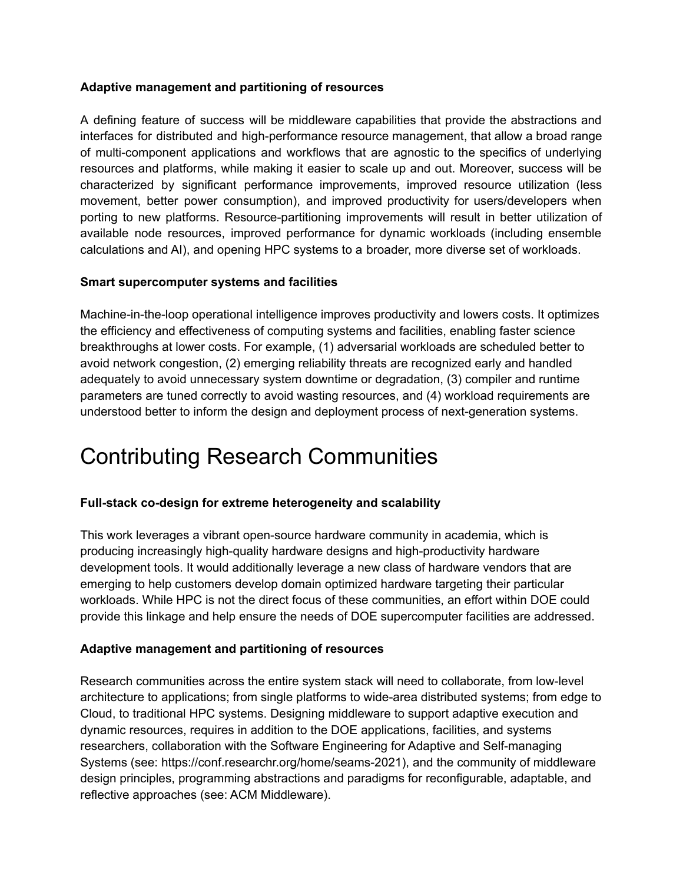#### **Adaptive management and partitioning of resources**

A defining feature of success will be middleware capabilities that provide the abstractions and interfaces for distributed and high-performance resource management, that allow a broad range of multi-component applications and workflows that are agnostic to the specifics of underlying resources and platforms, while making it easier to scale up and out. Moreover, success will be characterized by significant performance improvements, improved resource utilization (less movement, better power consumption), and improved productivity for users/developers when porting to new platforms. Resource-partitioning improvements will result in better utilization of available node resources, improved performance for dynamic workloads (including ensemble calculations and AI), and opening HPC systems to a broader, more diverse set of workloads.

#### **Smart supercomputer systems and facilities**

Machine-in-the-loop operational intelligence improves productivity and lowers costs. It optimizes the efficiency and effectiveness of computing systems and facilities, enabling faster science breakthroughs at lower costs. For example, (1) adversarial workloads are scheduled better to avoid network congestion, (2) emerging reliability threats are recognized early and handled adequately to avoid unnecessary system downtime or degradation, (3) compiler and runtime parameters are tuned correctly to avoid wasting resources, and (4) workload requirements are understood better to inform the design and deployment process of next-generation systems.

### Contributing Research Communities

### **Full-stack co-design for extreme heterogeneity and scalability**

This work leverages a vibrant open-source hardware community in academia, which is producing increasingly high-quality hardware designs and high-productivity hardware development tools. It would additionally leverage a new class of hardware vendors that are emerging to help customers develop domain optimized hardware targeting their particular workloads. While HPC is not the direct focus of these communities, an effort within DOE could provide this linkage and help ensure the needs of DOE supercomputer facilities are addressed.

#### **Adaptive management and partitioning of resources**

Research communities across the entire system stack will need to collaborate, from low-level architecture to applications; from single platforms to wide-area distributed systems; from edge to Cloud, to traditional HPC systems. Designing middleware to support adaptive execution and dynamic resources, requires in addition to the DOE applications, facilities, and systems researchers, collaboration with the Software Engineering for Adaptive and Self-managing Systems (see: https://conf.researchr.org/home/seams-2021), and the community of middleware design principles, programming abstractions and paradigms for reconfigurable, adaptable, and reflective approaches (see: ACM Middleware).